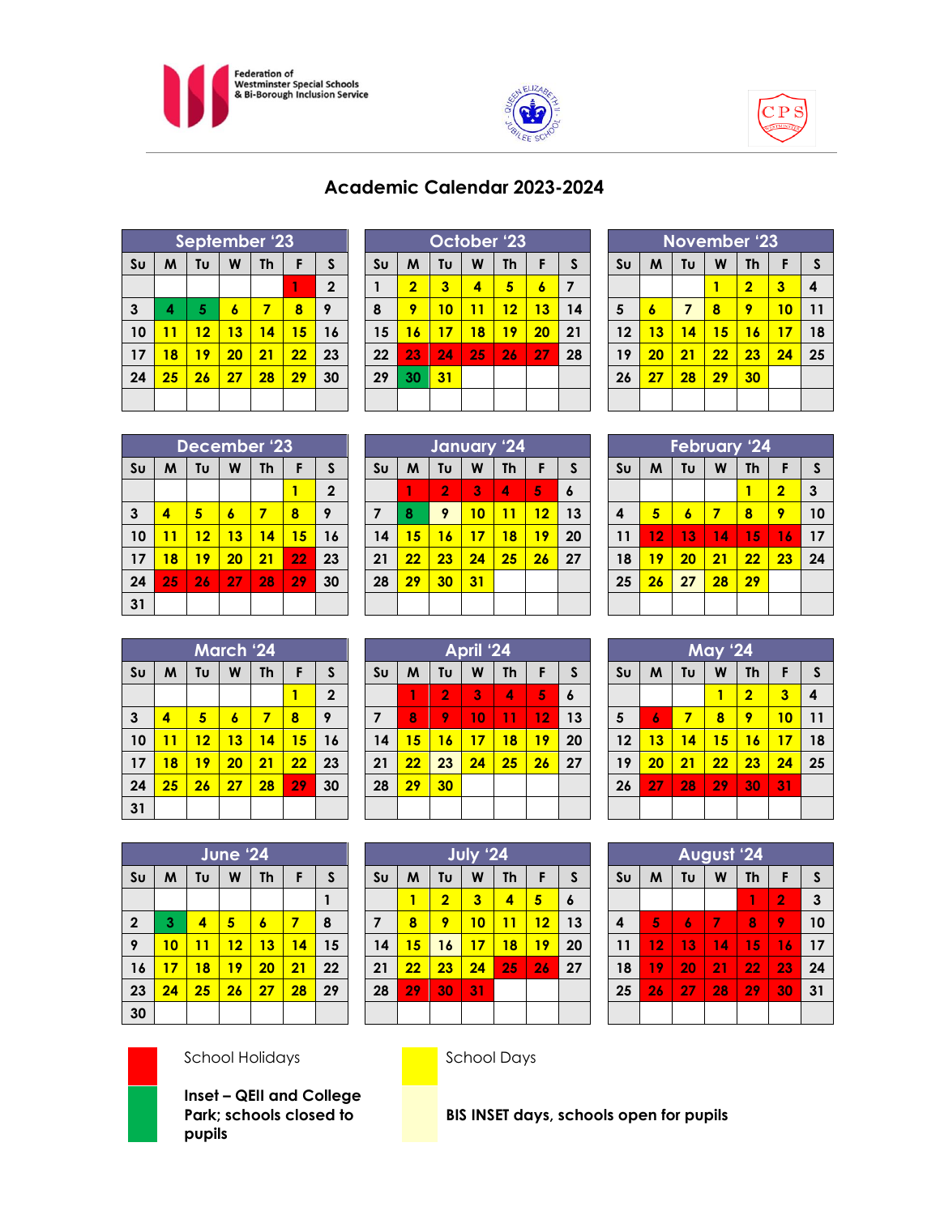





| Academic Calendar 2023-2024 |  |
|-----------------------------|--|
|                             |  |

| September '23  |    |    |    |    |    |              |  |
|----------------|----|----|----|----|----|--------------|--|
| S <sub>U</sub> | M  | Tυ | W  | Th | F  | S            |  |
|                |    |    |    |    | 1  | $\mathbf{2}$ |  |
| $\mathbf{3}$   | 4  | 5  | 6  | 7  | 8  | 9            |  |
| 10             | 11 | 12 | 13 | 14 | 15 | 16           |  |
| 17             | 18 | 19 | 20 | 21 | 22 | 23           |  |
| 24             | 25 | 26 | 27 | 28 | 29 | 30           |  |
|                |    |    |    |    |    |              |  |

| October '23    |                |    |    |    |    |    |  |
|----------------|----------------|----|----|----|----|----|--|
| S <sub>U</sub> | M              | Tυ | W  | Th | F  | S  |  |
| 1              | $\overline{2}$ | 3  | 4  | 5  | 6  | 7  |  |
| 8              | 9              | 10 | 11 | 12 | 13 | 14 |  |
| 15             | 16             | 17 | 18 | 19 | 20 | 21 |  |
| 22             | 23             | 24 | 25 | 26 | 27 | 28 |  |
| 29             | 30             | 31 |    |    |    |    |  |
|                |                |    |    |    |    |    |  |

| <b>November '23</b> |                |                                |    |                |    |    |  |  |
|---------------------|----------------|--------------------------------|----|----------------|----|----|--|--|
| S <sub>U</sub>      | M              | Tυ<br><b>Th</b><br>S<br>W<br>F |    |                |    |    |  |  |
|                     |                |                                |    | $\overline{2}$ | 3  | 4  |  |  |
| 5                   | $\overline{6}$ | $\overline{7}$                 | 8  | 9              | 10 | 11 |  |  |
| 12                  | 13             | 14                             | 15 | 16             | 17 | 18 |  |  |
| 19                  | 20             | 21                             | 22 | 23             | 24 | 25 |  |  |
| 26                  | 27             | 28                             | 29 | 30             |    |    |  |  |
|                     |                |                                |    |                |    |    |  |  |

|                        | December '23 |    |    |           |    |              |  |  |
|------------------------|--------------|----|----|-----------|----|--------------|--|--|
| $\mathsf{S}\mathsf{u}$ | M            | Tυ | W  | <b>Th</b> | F  | S            |  |  |
|                        |              |    |    |           |    | $\mathbf{2}$ |  |  |
| 3                      | 4            | 5  | 6  | 7         | 8  | 9            |  |  |
| 10                     | 11           | 12 | 13 | 14        | 15 | 16           |  |  |
| 17                     | 18           | 19 | 20 | 21        | 22 | 23           |  |  |
| 24                     | 25           | 26 | 27 | 28        | 29 | 30           |  |  |
| 31                     |              |    |    |           |    |              |  |  |

| January '24    |    |                |    |           |    |              |  |  |
|----------------|----|----------------|----|-----------|----|--------------|--|--|
| S <sub>U</sub> | M  | Tu             | W  | <b>Th</b> | F  | $\mathsf{s}$ |  |  |
|                | 1  | $\overline{2}$ | 3  | 4         | 5  | 6            |  |  |
| 7              | 8  | 9              | 10 | 11        | 12 | 13           |  |  |
| 14             | 15 | 16             | 17 | 18        | 19 | 20           |  |  |
| 21             | 22 | 23             | 24 | 25        | 26 | 27           |  |  |
| 28             | 29 | 30             | 31 |           |    |              |  |  |
|                |    |                |    |           |    |              |  |  |

|                | <b>February '24</b> |    |    |           |                         |    |  |  |
|----------------|---------------------|----|----|-----------|-------------------------|----|--|--|
| S <sub>U</sub> | M                   | Tυ | W  | <b>Th</b> | F                       | S  |  |  |
|                |                     |    |    |           | $\overline{\mathbf{2}}$ | 3  |  |  |
| 4              | 5                   | 6  | 7  | 8         | 9                       | 10 |  |  |
| 11             | 12                  | 13 | 14 | 15        | 16                      | 17 |  |  |
| 18             | 19                  | 20 | 21 | 22        | 23                      | 24 |  |  |
| 25             | 26                  | 27 | 28 | 29        |                         |    |  |  |
|                |                     |    |    |           |                         |    |  |  |

|                | March '24 |    |    |           |    |              |  |  |
|----------------|-----------|----|----|-----------|----|--------------|--|--|
| S <sub>U</sub> | M         | Tυ | W  | <b>Th</b> | F  | $\mathsf{s}$ |  |  |
|                |           |    |    |           | 1  | $\mathbf{2}$ |  |  |
| 3              | 4         | 5  | 6  | 7         | 8  | 9            |  |  |
| 10             | 11        | 12 | 13 | 14        | 15 | 16           |  |  |
| 17             | 18        | 19 | 20 | 21        | 22 | 23           |  |  |
| 24             | 25        | 26 | 27 | 28        | 29 | 30           |  |  |
| 31             |           |    |    |           |    |              |  |  |

| April '24               |    |    |    |    |    |                  |  |  |
|-------------------------|----|----|----|----|----|------------------|--|--|
| S <sub>U</sub>          | M  | Tυ | W  | Th | F  | S                |  |  |
|                         | 1  | 2  | 3  | 4  | 5  | $\boldsymbol{6}$ |  |  |
| $\overline{\mathbf{z}}$ | 8  | 9  | 10 | 11 | 12 | 13               |  |  |
| 14                      | 15 | 16 | 17 | 18 | 19 | 20               |  |  |
| 21                      | 22 | 23 | 24 | 25 | 26 | 27               |  |  |
| 28                      | 29 | 30 |    |    |    |                  |  |  |
|                         |    |    |    |    |    |                  |  |  |
|                         |    |    |    |    |    |                  |  |  |

|                |    |    | <b>May '24</b> |                |    |    |
|----------------|----|----|----------------|----------------|----|----|
| S <sub>U</sub> | M  | Tυ | W              | <b>Th</b>      | F  | S  |
|                |    |    | 1              | $\overline{2}$ | 3  | 4  |
| $5\phantom{1}$ | 6  | 7  | 8              | 9              | 10 | 11 |
| 12             | 13 | 14 | 15             | 16             | 17 | 18 |
| 19             | 20 | 21 | 22             | 23             | 24 | 25 |
| 26             | 27 | 28 | 29             | 30             | 31 |    |
|                |    |    |                |                |    |    |

|                | June '24 |    |    |           |    |    |  |  |
|----------------|----------|----|----|-----------|----|----|--|--|
| S <sub>U</sub> | M        | Tu | W  | <b>Th</b> | F  | S  |  |  |
|                |          |    |    |           |    |    |  |  |
| $\mathbf{2}$   | 3        | 4  | 5  | 6         | 7  | 8  |  |  |
| 9              | 10       | 11 | 12 | 13        | 14 | 15 |  |  |
| 16             | 17       | 18 | 19 | 20        | 21 | 22 |  |  |
| 23             | 24       | 25 | 26 | 27        | 28 | 29 |  |  |
| 30             |          |    |    |           |    |    |  |  |

| July '24       |    |                |    |           |    |                  |
|----------------|----|----------------|----|-----------|----|------------------|
| S <sub>U</sub> | M  | Tu             | W  | <b>Th</b> | F  | S                |
|                |    | $\overline{2}$ | 3  | 4         | 5  | $\boldsymbol{6}$ |
| $\overline{7}$ | 8  | 9              | 10 | 11        | 12 | 13               |
| 14             | 15 | 16             | 17 | 18        | 19 | 20               |
| 21             | 22 | 23             | 24 | 25        | 26 | 27               |
| 28             | 29 | 30             | 31 |           |    |                  |
|                |    |                |    |           |    |                  |

| <b>August '24</b> |         |    |    |           |                |    |
|-------------------|---------|----|----|-----------|----------------|----|
| S <sub>U</sub>    | M       | Tυ | W  | <b>Th</b> | F              | S  |
|                   |         |    |    | 1         | $\overline{2}$ | 3  |
| 4                 | 5       | 6  | 7  | 8         | 9              | 10 |
| 11                | $12 \,$ | 13 | 14 | 15        | 16             | 17 |
| 18                | 19      | 20 | 21 | 22        | 23             | 24 |
| 25                | 26      | 27 | 28 | 29        | 30             | 31 |
|                   |         |    |    |           |                |    |



### School Holidays **School Days**

**Inset – QEII and College Park; schools closed to pupils**

**BIS INSET days, schools open for pupils**